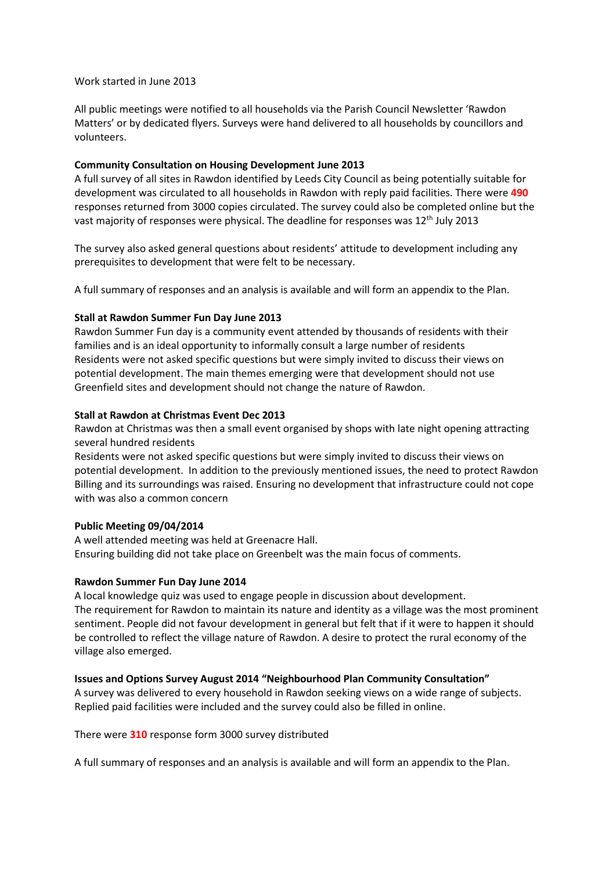# Work started in June 2013

All public meetings were notified to all households via the Parish Council Newsletter 'Rawdon Matters' or by dedicated flyers. Surveys were hand delivered to all households by councillors and volunteers.

# **Community Consultation on Housing Development June 2013**

A full survey of all sites in Rawdon identified by Leeds City Council as being potentially suitable for development was circulated to all households in Rawdon with reply paid facilities. There were **490** responses returned from 3000 copies circulated. The survey could also be completed online but the vast majority of responses were physical. The deadline for responses was 12<sup>th</sup> July 2013

The survey also asked general questions about residents' attitude to development including any prerequisites to development that were felt to be necessary.

A full summary of responses and an analysis is available and will form an appendix to the Plan.

# **Stall at Rawdon Summer Fun Day June 2013**

Rawdon Summer Fun day is a community event attended by thousands of residents with their families and is an ideal opportunity to informally consult a large number of residents Residents were not asked specific questions but were simply invited to discuss their views on potential development. The main themes emerging were that development should not use Greenfield sites and development should not change the nature of Rawdon.

### **Stall at Rawdon at Christmas Event Dec 2013**

Rawdon at Christmas was then a small event organised by shops with late night opening attracting several hundred residents

Residents were not asked specific questions but were simply invited to discuss their views on potential development. In addition to the previously mentioned issues, the need to protect Rawdon Billing and its surroundings was raised. Ensuring no development that infrastructure could not cope with was also a common concern

# **Public Meeting 09/04/2014**

A well attended meeting was held at Greenacre Hall. Ensuring building did not take place on Greenbelt was the main focus of comments.

# **Rawdon Summer Fun Day June 2014**

A local knowledge quiz was used to engage people in discussion about development. The requirement for Rawdon to maintain its nature and identity as a village was the most prominent sentiment. People did not favour development in general but felt that if it were to happen it should be controlled to reflect the village nature of Rawdon. A desire to protect the rural economy of the village also emerged.

# **Issues and Options Survey August 2014 "Neighbourhood Plan Community Consultation"**

A survey was delivered to every household in Rawdon seeking views on a wide range of subjects. Replied paid facilities were included and the survey could also be filled in online.

There were **310** response form 3000 survey distributed

A full summary of responses and an analysis is available and will form an appendix to the Plan.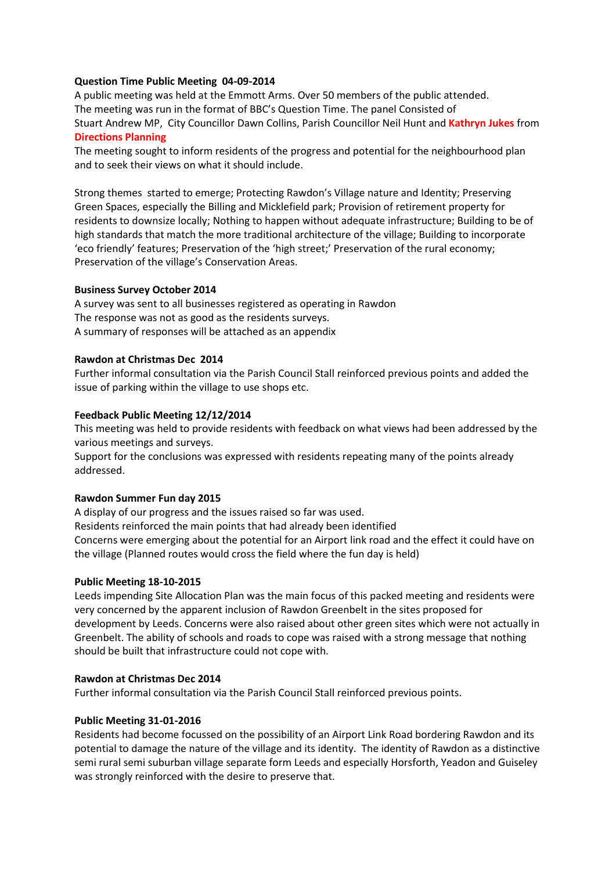# **Question Time Public Meeting 04-09-2014**

A public meeting was held at the Emmott Arms. Over 50 members of the public attended. The meeting was run in the format of BBC's Question Time. The panel Consisted of Stuart Andrew MP, City Councillor Dawn Collins, Parish Councillor Neil Hunt and **Kathryn Jukes** from **Directions Planning**

The meeting sought to inform residents of the progress and potential for the neighbourhood plan and to seek their views on what it should include.

Strong themes started to emerge; Protecting Rawdon's Village nature and Identity; Preserving Green Spaces, especially the Billing and Micklefield park; Provision of retirement property for residents to downsize locally; Nothing to happen without adequate infrastructure; Building to be of high standards that match the more traditional architecture of the village; Building to incorporate 'eco friendly' features; Preservation of the 'high street;' Preservation of the rural economy; Preservation of the village's Conservation Areas.

### **Business Survey October 2014**

A survey was sent to all businesses registered as operating in Rawdon The response was not as good as the residents surveys. A summary of responses will be attached as an appendix

### **Rawdon at Christmas Dec 2014**

Further informal consultation via the Parish Council Stall reinforced previous points and added the issue of parking within the village to use shops etc.

### **Feedback Public Meeting 12/12/2014**

This meeting was held to provide residents with feedback on what views had been addressed by the various meetings and surveys.

Support for the conclusions was expressed with residents repeating many of the points already addressed.

# **Rawdon Summer Fun day 2015**

A display of our progress and the issues raised so far was used. Residents reinforced the main points that had already been identified Concerns were emerging about the potential for an Airport link road and the effect it could have on the village (Planned routes would cross the field where the fun day is held)

# **Public Meeting 18-10-2015**

Leeds impending Site Allocation Plan was the main focus of this packed meeting and residents were very concerned by the apparent inclusion of Rawdon Greenbelt in the sites proposed for development by Leeds. Concerns were also raised about other green sites which were not actually in Greenbelt. The ability of schools and roads to cope was raised with a strong message that nothing should be built that infrastructure could not cope with.

#### **Rawdon at Christmas Dec 2014**

Further informal consultation via the Parish Council Stall reinforced previous points.

#### **Public Meeting 31-01-2016**

Residents had become focussed on the possibility of an Airport Link Road bordering Rawdon and its potential to damage the nature of the village and its identity. The identity of Rawdon as a distinctive semi rural semi suburban village separate form Leeds and especially Horsforth, Yeadon and Guiseley was strongly reinforced with the desire to preserve that.